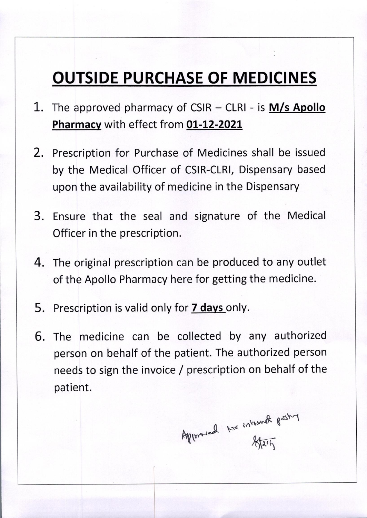## **OUTSIDE PURCHASE OF MEDICINES**

- The approved pharmacy of CSIR CLRI is  $M/s$  Apollo 1. Pharmacy with effect from 01-12-2021
- 2. Prescription for Purchase of Medicines shall be issued by the Medical Officer of CSIR-CLRI, Dispensary based upon the availability of medicine in the Dispensary
- 3. Ensure that the seal and signature of the Medical Officer in the prescription.
- 4. The original prescription can be produced to any outlet of the Apollo Pharmacy here for getting the medicine.
- 5. Prescription is valid only for 7 days only.
- 6. The medicine can be collected by any authorized person on behalf of the patient. The authorized person needs to sign the invoice / prescription on behalf of the patient.

Approved No intrand pashy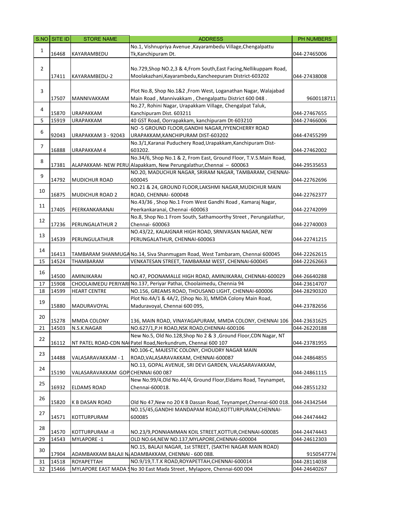|                | $SNO$ SITE ID | <b>STORE NAME</b>                  | <b>ADDRESS</b>                                                                                                             | PH NUMBERS                   |
|----------------|---------------|------------------------------------|----------------------------------------------------------------------------------------------------------------------------|------------------------------|
|                |               |                                    | No.1, Vishnupriya Avenue , Kayarambedu Village, Chengalpattu                                                               |                              |
| $\mathbf{1}$   | 16468         | KAYARAMBEDU                        | Tk, Kanchipuram Dt.                                                                                                        | 044-27465006                 |
|                |               |                                    |                                                                                                                            |                              |
| $\overline{2}$ |               |                                    | No.729, Shop NO.2, 3 & 4, From South, East Facing, Nellikuppam Road,                                                       |                              |
|                | 17411         | KAYARAMBEDU-2                      | Moolakazhani, Kayarambedu, Kancheepuram District-603202                                                                    | 044-27438008                 |
|                |               |                                    |                                                                                                                            |                              |
| 3              |               |                                    | Plot No.8, Shop No.1&2, From West, Loganathan Nagar, Walajabad                                                             |                              |
|                | 17507         | MANNIVAKKAM                        | Main Road, Mannivakkam, Chengalpattu District 600 048.                                                                     | 9600118711                   |
| 4              | 15870         | <b>URAPAKKAM</b>                   | No.27, Rohini Nagar, Urapakkam Village, Chengalpat Taluk,<br>Kanchipuram Dist. 603211                                      |                              |
| 5              | 15919         | <b>URAPAKKAM</b>                   | 40 GST Road, Oorrapakkam, kanchipuram Dt-603210                                                                            | 044-27467655<br>044-27466006 |
|                |               |                                    | NO -5 GROUND FLOOR, GANDHI NAGAR, IYYENCHERRY ROAD                                                                         |                              |
| 6              | 92043         | <b>URAPAKKAM 3 - 92043</b>         | URAPAKKAM, KANCHIPURAM DIST-603202                                                                                         | 044-47455299                 |
|                |               |                                    | No.3/1, Karanai Puduchery Road, Urapakkam, Kanchipuram Dist-                                                               |                              |
| 7              | 16888         | URAPAKKAM 4                        | 603202.                                                                                                                    | 044-27462002                 |
|                |               |                                    | No.34/6, Shop No.1 & 2, From East, Ground Floor, T.V.S.Main Road,                                                          |                              |
| 8              | 17381         |                                    | ALAPAKKAM- NEW PERU Alapakkam, New Perungalathur, Chennai - 600063                                                         | 044-29535653                 |
|                |               |                                    | NO.20, MADUCHUR NAGAR, SRIRAM NAGAR, TAMBARAM, CHENNAI-                                                                    |                              |
| 9              | 14792         | <b>MUDICHUR ROAD</b>               | 600045                                                                                                                     | 044-22762696                 |
|                |               |                                    | NO.21 & 24, GROUND FLOOR, LAKSHMI NAGAR, MUDICHUR MAIN                                                                     |                              |
| 10             | 16875         | <b>MUDICHUR ROAD 2</b>             | ROAD, CHENNAI- 600048                                                                                                      | 044-22762377                 |
| 11             |               |                                    | No.43/36, Shop No.1 From West Gandhi Road, Kamaraj Nagar,                                                                  |                              |
|                | 17405         | PEERKANKARANAI                     | Peerkankaranai, Chennai -600063                                                                                            | 044-22742099                 |
| 12             |               |                                    | No.8, Shop No.1 From South, Sathamoorthy Street, Perungalathur,                                                            |                              |
|                | 17236         | PERUNGALATHUR 2                    | Chennai- 600063                                                                                                            | 044-22740003                 |
| 13             |               |                                    | NO.43/22, KALAIGNAR HIGH ROAD, SRNIVASAN NAGAR, NEW                                                                        |                              |
|                | 14539         | PERUNGULATHUR                      | PERUNGALATHUR, CHENNAI-600063                                                                                              | 044-22741215                 |
| 14             |               |                                    |                                                                                                                            |                              |
|                | 16413         |                                    | TAMBARAM SHANMUGA No.14, Siva Shanmugam Road, West Tambaram, Chennai 600045                                                | 044-22262615                 |
| 15             | 14524         | THAMBARAM                          | VENKATESAN STREET, TAMBARAM WEST, CHENNAI-600045                                                                           | 044-22262663                 |
| 16             | 14500         | AMINJIKARAI                        | NO.47, POONAMALLE HIGH ROAD, AMINJIKARAI, CHENNAI-600029                                                                   | 044-26640288                 |
| 17             | 15908         |                                    | CHOOLAIMEDU PERIYARI No.137, Periyar Pathai, Choolaimedu, Chennia 94                                                       | 044-23614707                 |
| 18             | 14599         | <b>HEART CENTRE</b>                | NO.156, GREAMS ROAD, THOUSAND LIGHT, CHENNAI-600006                                                                        | 044-28290320                 |
|                |               |                                    | Plot No.4A/1 & 4A/2, (Shop No.3), MMDA Colony Main Road,                                                                   |                              |
| 19             | 15880         | MADURAVOYAL                        | Maduravoyal, Chennai 600 095,                                                                                              | 044-23782656                 |
|                |               |                                    |                                                                                                                            |                              |
| 20             | 15278         | MMDA COLONY                        | 136, MAIN ROAD, VINAYAGAPURAM, MMDA COLONY, CHENNAI 106                                                                    | 044-23631625                 |
| 21             |               | 14503 N.S.K.NAGAR                  | NO.627/1, P.H ROAD, NSK ROAD, CHENNAI-600106                                                                               | 044-26220188                 |
| 22             |               |                                    | New No.5, Old No.128, Shop No 2 & 3, Ground Floor, CDN Nagar, NT                                                           |                              |
|                | 16112         |                                    | NT PATEL ROAD-CDN NA Patel Road, Nerkundrum, Chennai 600 107                                                               | 044-23781955                 |
| 23             |               |                                    | NO.106-C, MAJESTIC COLONY, CHOUDRY NAGAR MAIN                                                                              |                              |
|                | 14488         | VALASARAVAKKAM - 1                 | ROAD, VALASARAVAKKAM, CHENNAI-600087                                                                                       | 044-24864855                 |
| 24             |               |                                    | NO.13, GOPAL AVENUE, SRI DEVI GARDEN, VALASARAVAKKAM,                                                                      |                              |
|                | 15190         | VALASARAVAKKAM GOP CHENNAI 600 087 |                                                                                                                            | 044-24861115                 |
| 25             |               |                                    | New No.99/4, Old No.44/4, Ground Floor, Eldams Road, Teynampet,                                                            |                              |
|                | 16932         | <b>ELDAMS ROAD</b>                 | Chennai-600018.                                                                                                            | 044-28551232                 |
| 26             |               |                                    |                                                                                                                            |                              |
|                | 15820         | K B DASAN ROAD                     | Old No 47, New no 20 K B Dassan Road, Teynampet, Chennai-600 018.<br>NO.15/45, GANDHI MANDAPAM ROAD, KOTTURPURAM, CHENNAI- | 044-24342544                 |
| 27             | 14571         |                                    | 600085                                                                                                                     | 044-24474442                 |
|                |               | KOTTURPURAM                        |                                                                                                                            |                              |
| 28             | 14570         | KOTTURPURAM - II                   | NO.23/9, PONNIAMMAN KOIL STREET, KOTTUR, CHENNAI-600085                                                                    | 044-24474443                 |
| 29             | 14543         | <b>MYLAPORE -1</b>                 | OLD NO.64, NEW NO.137, MYLAPORE, CHENNAI-600004                                                                            | 044-24612303                 |
|                |               |                                    | NO.15, BALAJI NAGAR, 1st STREET, (SAKTHI NAGAR MAIN ROAD)                                                                  |                              |
| 30             | 17904         |                                    | ADAMBAKKAM BALAJI N/ADAMBAKKAM, CHENNAI - 600 088.                                                                         | 9150547774                   |
| 31             | 14518         | ROYAPETTAH                         | NO.9/19, T.T.K ROAD, ROYAPETTAH, CHENNAI-600014                                                                            | 044-28114038                 |
| 32             | 15466         |                                    | MYLAPORE EAST MADA SNo 30 East Mada Street, Mylapore, Chennai-600 004                                                      | 044-24640267                 |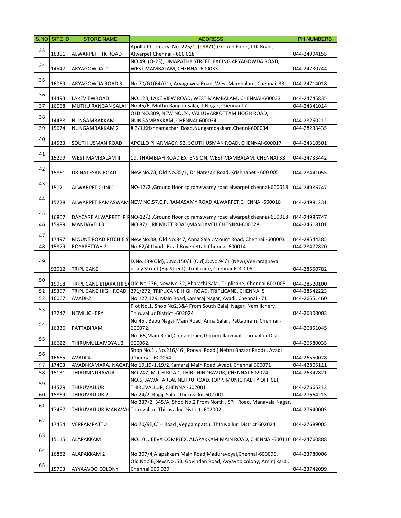|    | S.NO SITE ID | <b>STORE NAME</b>       | <b>ADDRESS</b>                                                                           | PH NUMBERS   |
|----|--------------|-------------------------|------------------------------------------------------------------------------------------|--------------|
|    |              |                         | Apollo Pharmacy, No. 225/1, (99A/1), Ground Floor, TTK Road,                             |              |
| 33 | 16301        | ALWARPET TTK ROAD       | Alwarpet Chennai - 600 018                                                               | 044-24994155 |
|    |              |                         | NO.49, (O-23), UMAPATHY STREET, FACING ARYAGOWDA ROAD,                                   |              |
| 34 | 14547        | ARYAGOWDA-1             | WEST MAMBALAM, CHENNAI-600033                                                            | 044-24730744 |
|    |              |                         |                                                                                          |              |
| 35 | 16069        | ARYAGOWDA ROAD 3        | No.70/G1(64/G1), Aryagowda Road, West Mambalam, Chennai 33                               | 044-24714018 |
|    |              |                         |                                                                                          |              |
| 36 | 14493        | LAKEVIEWROAD            | NO.123, LAKE VIEW ROAD, WEST MAMBALAM, CHENNAI-600033                                    | 044-24745835 |
| 37 | 16068        | MUTHU RANGAN SALAI      | No.45/6, Muthu Rangan Salai, T.Nagar, Chennai 17                                         | 044-24341014 |
| 38 |              |                         | OLD NO.309, NEW NO.24, VALLUVARKOTTAM HOGH ROAD,                                         |              |
|    | 14438        | NUNGAMBAKKAM            | NUNGAMBAKKAM, CHENNAI-600034                                                             | 044-28250212 |
| 39 | 15674        | NUNGAMBAKKAM 2          | #3/1, Krishnamachari Road, Nungambakkam, Chenni-600034.                                  | 044-28233435 |
| 40 |              |                         |                                                                                          |              |
|    | 14533        | <b>SOUTH USMAN ROAD</b> | APOLLO PHARMACY, 52, SOUTH USMAN ROAD, CHENNAI-600017                                    | 044-24310501 |
| 41 |              |                         |                                                                                          |              |
|    | 15299        | WEST MAMBALAM II        | 19, THAMBIAH ROAD EXTENSION, WEST MAMBALAM, CHENNAI 33                                   | 044-24733442 |
| 42 |              |                         |                                                                                          |              |
|    | 15861        | DR NATESAN ROAD         | New No.73, Old No.35/1, Dr.Natesan Road, Krishnapet - 600 005                            | 044-28441055 |
| 43 |              |                         |                                                                                          |              |
|    | 15021        | <b>ALWARPET CLINIC</b>  | NO-12/2, Ground floor cp ramswamy road alwarpet chennai-600018                           | 044-24986747 |
| 44 |              |                         |                                                                                          |              |
|    | 15228        |                         | ALWARPET RAMASWAM NEW NO.57,C.P. RAMASAMY ROAD, ALWARPET, CHENNAI-600018                 | 044-24981231 |
| 45 |              |                         |                                                                                          |              |
|    | 16807        |                         | DAYCARE ALWARPET IP P NO-12/2 , Ground floor cp ramswamy road alwarpet chennai-600018    | 044-24986747 |
| 46 | 15989        | <b>MANDAVELI3</b>       | NO.87/1,RK MUTT ROAD, MANDAVELI, CHENNAI-600028                                          | 044-24618101 |
| 47 |              |                         |                                                                                          |              |
|    | 17497        |                         | MOUNT ROAD RITCHIE S New No:38, Old No:847, Anna Salai, Mount Road, Chennai -600003      | 044-28544385 |
| 48 | 15879        | ROYAPETTAH 2            | No.62/4, Llyods Road, Royepettah, Chennai-600014                                         | 044-28472820 |
|    |              |                         |                                                                                          |              |
| 49 |              |                         | D.No.139(Old),D.No.150/1 (Old),D.No.94/1 (New),Veeraraghava                              |              |
|    | 92012        | TRIPLICANE              | udaly Street (Big Street), Triplicane, Chennai-600 005                                   | 044-28550782 |
| 50 |              |                         |                                                                                          |              |
|    | 15958        |                         | TRIPLICANE BHARATHI SAOId No.276, New No.32, Bharathi Salai, Triplicane, Chennai 600 005 | 044-28520100 |
| 51 | 15397        | TRIPLICANE HIGH ROAD    | 271/272, TRIPLICANE HIGH ROAD, TRIPLICANE, CHENNAI 5                                     | 044-28542223 |
| 52 | 16067        | AVADI-2                 | No.127,129, Main Road, Kamaraj Nagar, Avadi, Chennai - 71.                               | 044-26551460 |
| 53 |              |                         | Plot No.1, Shop No2,3&4 From South Balaji Nagar, Nemilichery,                            |              |
|    | 17247        | NEMILICHERY             | Thiruvallur District -602024                                                             | 044-26300003 |
| 54 |              |                         | No.45, Babu Nagar Main Road, Anna Salai, Pattabiram, Chennai -                           |              |
|    | 16336        | PATTABIRAM              | 600072.                                                                                  | 044-26851045 |
| 55 | 16622        |                         | No: 65, Main Road, Cholapuram, Thirumullaivoyal, Thiruvallur Dist-<br>600062.            |              |
|    |              | THIRUMULLAIVOYAL 3      | Shop No.1, No.216/46, Poovai Road (Nehru Bazaar Raod), Avadi                             | 044-26580035 |
| 56 | 16665        | AVADI 4                 | ,Chennai -600054.                                                                        | 044-26550028 |
| 57 | 17403        | AVADI-KAMARAJ NAGAR     | No.19,19/1,19/2, Kamaraj Main Road, Avadi, Chennai 600071                                | 044-42805111 |
| 58 | 15131        | THIRUNINDRAVUR          | NO.247, M.T.H ROAD, THIRUNINDRAVUR, CHENNAI-602024                                       | 044-26342821 |
|    |              |                         | NO.6, JAWAHARLAL NEHRU ROAD, (OPP. MUNICIPALITY OFFICE),                                 |              |
| 59 | 14579        | THIRUVALLUR             | THIRUVALLUR, CHENNAI-602001                                                              | 044-27665212 |
| 60 | 15869        | THIRUVALLUR 2           | No.24/2, Rajaji Salai, Thiruvallur 602 001                                               | 044-27664215 |
|    |              |                         | No.337/2, 345/A, Shop No.2 From North, SPH Road, Manavala Nagar,                         |              |
| 61 | 17457        |                         | THIRUVALLUR-MANAVAL Thiruvallur, Thiruvallur District -602002                            | 044-27640005 |
|    |              |                         |                                                                                          |              |
| 62 | 17454        | VEPPAMPATTU             | No.70/9E, CTH Road, Veppampattu, Thiruvallur District 602024                             | 044-27689005 |
|    |              |                         |                                                                                          |              |
| 63 | 15115        | ALAPAKKAM               | NO.10L, JEEVA COMPLEX, ALAPAKKAM MAIN ROAD, CHENNAI-600116 044-24760888                  |              |
|    |              |                         |                                                                                          |              |
| 64 | 16882        | ALAPAKKAM 2             | No.307/4, Alapakkam Main Road, Maduravoyal, Chennai-600095.                              | 044-23780006 |
|    |              |                         | Old No.5B, New No.5B, Govindan Road, Ayyavoo colony, Aminjikarai,                        |              |
| 65 | 15793        | AYYAAVOO COLONY         | Chennai 600 029                                                                          | 044-23742099 |
|    |              |                         |                                                                                          |              |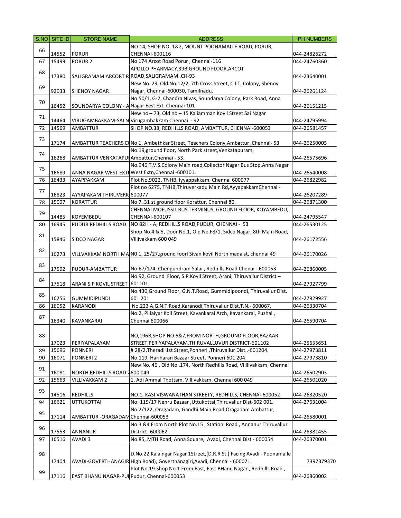|    | S.NO SITE ID | <b>STORE NAME</b>                           | <b>ADDRESS</b>                                                                                                                              | PH NUMBERS   |
|----|--------------|---------------------------------------------|---------------------------------------------------------------------------------------------------------------------------------------------|--------------|
| 66 |              |                                             | NO.14, SHOP NO. 1&2, MOUNT POONAMALLE ROAD, PORUR,                                                                                          |              |
|    | 14552        | <b>PORUR</b>                                | CHENNAI-600116                                                                                                                              | 044-24826272 |
| 67 | 15499        | PORUR <sub>2</sub>                          | No 174 Arcot Road Porur, Chennai-116                                                                                                        | 044-24760360 |
| 68 |              |                                             | APOLLO PHARMACY, 39B, GROUND FLOOR, ARCOT                                                                                                   |              |
|    | 17380        |                                             | SALIGRAMAM ARCORT R ROAD, SALIGRAMAM, CH-93                                                                                                 | 044-23640001 |
| 69 |              |                                             | New No. 29, Old No.12/2, 7th Cross Street, C.I.T, Colony, Shenoy                                                                            |              |
|    | 92033        | <b>SHENOY NAGAR</b>                         | Nagar, Chennai-600030, Tamilnadu.                                                                                                           | 044-26261124 |
| 70 |              |                                             | No.50/1, G-2, Chandra Nivas, Soundarya Colony, Park Road, Anna                                                                              |              |
|    | 16452        |                                             | SOUNDARYA COLONY - A Nagar Eest Ext. Chennai 101                                                                                            | 044-26151215 |
| 71 |              |                                             | New no - 73, Old no - 15 Kaliamman Kovil Street Sai Nagar                                                                                   |              |
|    | 14464        |                                             | VIRUGAMBAKKAM-SAI N Virugambakkam Chennai - 92                                                                                              | 044-24795994 |
| 72 | 14569        | AMBATTUR                                    | SHOP NO.38, REDHILLS ROAD, AMBATTUR, CHENNAI-600053                                                                                         | 044-26581457 |
| 73 | 17174        |                                             | AMBATTUR TEACHERS CONo 1, Ambethkar Street, Teachers Colony, Ambattur, Chennai-53                                                           | 044-26250005 |
|    |              |                                             | No.19, ground floor, North Park street, Venkatapuram,                                                                                       |              |
| 74 | 16268        | AMBATTUR VENKATAPUI Ambattur, Chennai - 53. |                                                                                                                                             | 044-26575696 |
|    |              |                                             | No.946,T.V.S.Colony Main road,Collector Nagar Bus Stop,Anna Nagar                                                                           |              |
| 75 | 16689        |                                             | ANNA NAGAR WEST EXTI West Extn, Chennai -600101.                                                                                            | 044-26540008 |
| 76 | 16433        | AYAPPAKKAM                                  | Plot No.9022, TNHB, Iyyappakkam, Chennai 600077                                                                                             | 044-26822982 |
|    |              |                                             | Plot no 6275, TNHB, Thiruverkadu Main Rd, Ayyapakkam Chennai -                                                                              |              |
| 77 | 16823        | AYYAPAKAM THIRUVERK 600077                  |                                                                                                                                             | 044-26207289 |
| 78 | 15097        | <b>KORATTUR</b>                             | No 7.31 st ground floor Korattur, Chennai 80.                                                                                               | 044-26871300 |
| 79 |              |                                             | CHENNAI MOFUSSIL BUS TERMINUS, GROUND FLOOR, KOYAMBEDU,                                                                                     |              |
|    | 14485        | KOYEMBEDU                                   | CHENNAI-600107                                                                                                                              | 044-24795547 |
| 80 | 16945        | PUDUR REDHILLS ROAD                         | NO 82H - A, REDHILLS ROAD, PUDUR, CHENNAI - 53                                                                                              | 044-26530125 |
| 81 |              |                                             | Shop No.4 & 5, Door No.1, Old No.F8/1, Sidco Nagar, 8th Main Road,                                                                          |              |
|    | 15846        | <b>SIDCO NAGAR</b>                          | Villivakkam 600 049                                                                                                                         | 044-26172556 |
| 82 | 16273        |                                             | VILLVAKKAM NORTH MA NO 1, 25/27, ground foorl Sivan kovil North mada st, chennai 49                                                         | 044-26170026 |
| 83 |              |                                             |                                                                                                                                             |              |
|    | 17592        | PUDUR-AMBATTUR                              | No.67/174, Chengundram Salai, Redhills Road Chenai - 600053                                                                                 | 044-26860005 |
| 84 |              |                                             | No.92, Ground Floor, S.P.Kovil Street, Arani, Thiruvallur District -                                                                        |              |
|    | 17518        | ARANI S.P KOVIL STREET                      | 601101                                                                                                                                      | 044-27927799 |
| 85 |              |                                             | No.430, Ground Floor, G.N.T.Road, Gummidipoondi, Thiruvallur Dist.                                                                          |              |
|    | 16256        | <b>GUMMIDIPUNDI</b>                         | 601 201<br>No.223 A, G.N.T. Road, Karanodi, Thiruvallur Dist, T.N. - 600067.                                                                | 044-27929927 |
| 86 | 16052        | <b>KARANODI</b>                             |                                                                                                                                             | 044-26330704 |
| 87 | 16340        | KAVANKARAI                                  | No.2, Pillaiyar Koil Street, Kavankarai Arch, Kavankarai, Puzhal,<br>Chennai 600066                                                         | 044-26590704 |
|    |              |                                             |                                                                                                                                             |              |
| 88 |              |                                             | NO,196B,SHOP NO.6&7,FROM NORTH,GROUND FLOOR,BAZAAR                                                                                          |              |
|    | 17023        | PERIYAPALAYAM                               | STREET, PERIYAPALAYAM, THIRUVALLUVUR DISTRICT-601102                                                                                        | 044-25655651 |
| 89 | 15696        | <b>PONNERI</b>                              | #28/2,Theradi 1st Street,Ponneri,Thiruvallur Dist.,-601204.                                                                                 | 044-27973811 |
| 90 | 16071        | <b>PONNERI2</b>                             | No.119, Hariharan Bazaar Street, Ponneri 601 204.                                                                                           | 044-27973810 |
|    |              |                                             | New No. 46, Old No .174, North Redhills Road, Villlivakkam, Chennai                                                                         |              |
| 91 | 16081        | NORTH REDHILLS ROAD 2600 049                |                                                                                                                                             | 044-26502903 |
| 92 | 15663        | VILLIVAKKAM 2                               | 1, Adi Ammal Thottam, Villivakkam, Chennai 600 049                                                                                          | 044-26501020 |
| 93 |              |                                             |                                                                                                                                             |              |
|    | 14516        | <b>REDHILLS</b>                             | NO.1, KASI VISWANATHAN STREETY, REDHILLS, CHENNAI-600052                                                                                    | 044-26320520 |
| 94 | 16621        | <b>UTTUKOTTAI</b>                           | No: 119/17 Nehru Bazaar , Uttukottai, Thiruvallur Dist-602 001.                                                                             | 044-27631004 |
| 95 |              |                                             | No.2/122, Oragadam, Gandhi Main Road, Oragadam Ambattur,                                                                                    |              |
|    | 17114        | AMBATTUR - ORAGADAM Chennai-600053          |                                                                                                                                             | 044-26580001 |
| 96 |              |                                             | No.3 &4 From North Plot No.15, Station Road, Annanur Thiruvallur                                                                            |              |
|    | 17553        | ANNANUR                                     | District -600062                                                                                                                            | 044-26381455 |
| 97 | 16516        | AVADI 3                                     | No.85, MTH Road, Anna Square, Avadi, Chennai Dist - 600054                                                                                  | 044-26370001 |
|    |              |                                             |                                                                                                                                             |              |
| 98 |              |                                             | D.No.22, Kalaingar Nagar 1Street, (D.R.R St.) Facing Avadi - Poonamalle                                                                     |              |
|    | 17404        |                                             | AVADI-GOVERTHANAGIR High Road), Goverthanagiri, Avadi, Chennai - 600071<br>Plot No.19.Shop No.1 From East, East BHanu Nagar, Redhills Road, | 7397379370   |
| 99 | 17116        | EAST BHANU NAGAR-PUI Pudur, Chennai-600053  |                                                                                                                                             |              |
|    |              |                                             |                                                                                                                                             | 044-26860002 |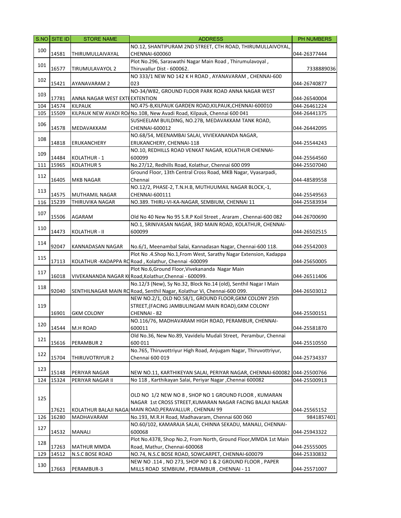|     | S.NO SITE ID | <b>STORE NAME</b>                 | <b>ADDRESS</b>                                                                                                      | PH NUMBERS                   |
|-----|--------------|-----------------------------------|---------------------------------------------------------------------------------------------------------------------|------------------------------|
|     |              |                                   | NO.12, SHANTIPURAM 2ND STREET, CTH ROAD, THIRUMULLAIVOYAL,                                                          |                              |
| 100 | 14581        | THIRUMULLAIVAYAL                  | CHENNAI-600060                                                                                                      | 044-26377444                 |
|     |              |                                   | Plot No.296, Saraswathi Nagar Main Road, Thirumulavoyal,                                                            |                              |
| 101 | 16577        | TIRUMULAVAYOL 2                   | Thiruvallur Dist - 600062.                                                                                          | 7338889036                   |
|     |              |                                   | NO 333/1 NEW NO 142 K H ROAD, AYANAVARAM, CHENNAI-600                                                               |                              |
| 102 | 15421        | <b>AYANAVARAM 2</b>               | 023                                                                                                                 | 044-26740877                 |
|     |              |                                   | NO-34/W82, GROUND FLOOR PARK ROAD ANNA NAGAR WEST                                                                   |                              |
| 103 | 17781        | ANNA NAGAR WEST EXTEEXTENTION     |                                                                                                                     | 044-26540004                 |
| 104 | 14574        | <b>KILPAUK</b>                    | NO.475-B, KILPAUK GARDEN ROAD, KILPAUK, CHENNAI-600010                                                              | 044-26461224                 |
| 105 | 15509        |                                   | KILPAUK NEW AVADI ROANo.108, New Avadi Road, Kilpauk, Chennai 600 041                                               | 044-26441375                 |
|     |              |                                   | SUSHEELAM BUILDING, NO.27B, MEDAVAKKAM TANK ROAD,                                                                   |                              |
| 106 | 14578        | MEDAVAKKAM                        | CHENNAI-600012                                                                                                      | 044-26442095                 |
|     |              |                                   | NO.68/54, MEENAMBAI SALAI, VIVIEKANANDA NAGAR,                                                                      |                              |
| 108 | 14818        | ERUKANCHERY                       | ERUKANCHERY, CHENNAI-118                                                                                            | 044-25544243                 |
|     |              |                                   | NO.10, REDHILLS ROAD VENKAT NAGAR, KOLATHUR CHENNAI-                                                                |                              |
| 109 | 14484        | KOLATHUR - 1                      | 600099                                                                                                              | 044-25564560                 |
| 111 | 15965        | <b>KOLATHUR 5</b>                 | No.27/12, Redhills Road, Kolathur, Chennai 600 099                                                                  | 044-25507040                 |
|     |              |                                   | Ground Floor, 13th Central Cross Road, MKB Nagar, Vyasarpadi,                                                       |                              |
| 112 | 16405        | MKB NAGAR                         | Chennai                                                                                                             | 044-48589558                 |
|     |              |                                   | NO.12/2, PHASE-2, T.N.H.B, MUTHUUMAIL NAGAR BLOCK,-1,                                                               |                              |
| 113 | 14575        |                                   |                                                                                                                     |                              |
|     | 15239        | MUTHAMIL NAGAR<br>THIRUVIKA NAGAR | CHENNAI-600111<br>NO.389. THIRU-VI-KA-NAGAR, SEMBIUM, CHENNAI 11                                                    | 044-25549563<br>044-25583934 |
| 116 |              |                                   |                                                                                                                     |                              |
| 107 |              |                                   |                                                                                                                     |                              |
|     | 15506        | AGARAM                            | Old No 40 New No 95 S.R.P Koil Street, Araram, Chennai-600 082                                                      | 044-26700690                 |
| 110 |              |                                   | NO.1, SRINIVASAN NAGAR, 3RD MAIN ROAD, KOLATHUR, CHENNAI-                                                           |                              |
|     | 14473        | KOLATHUR - II                     | 600099                                                                                                              | 044-26502515                 |
| 114 |              |                                   |                                                                                                                     |                              |
|     | 92047        | KANNADASAN NAGAR                  | No.6/1, Meenambal Salai, Kannadasan Nagar, Chennai-600 118.                                                         | 044-25542003                 |
| 115 |              |                                   | Plot No.4.Shop No.1, From West, Sarathy Nagar Extension, Kadappa                                                    |                              |
|     | 17113        |                                   | KOLATHUR - KADAPPA RO Road, Kolathur, Chennai -600099                                                               | 044-25650005                 |
| 117 |              |                                   | Plot No.6, Ground Floor, Vivekananda Nagar Main                                                                     |                              |
|     | 16018        |                                   | VIVEKANANDA NAGAR KIRoad, Kolathur, Chennai - 600099.                                                               | 044-26511406                 |
| 118 |              |                                   | No.12/3 (New), Sy No.32, Block No.14 (old), Senthil Nagar I Main                                                    |                              |
|     | 92040        |                                   | SENTHILNAGAR MAIN RORoad, Senthil Nagar, Kolathur Vi, Chennai-600 099.                                              | 044-26503012                 |
|     |              |                                   | NEW NO.2/1, OLD NO.58/1, GROUND FLOOR, GKM COLONY 25th                                                              |                              |
| 119 |              |                                   | STREET, (FACING JAMBULINGAM MAIN ROAD), GKM COLONY                                                                  |                              |
|     | 16901        | <b>GKM COLONY</b>                 | CHENNAI - 82                                                                                                        | 044-25500151                 |
| 120 |              |                                   | NO.116/76, MADHAVARAM HIGH ROAD, PERAMBUR, CHENNAI-                                                                 |                              |
|     | 14544        | M.H ROAD                          | 600011                                                                                                              | 044-25581870                 |
| 121 |              |                                   | Old No.36, New No.89, Vavidelu Mudali Street, Perambur, Chennai                                                     |                              |
|     | 15616        | PERAMBUR 2                        | 600 011                                                                                                             | 044-25510550                 |
| 122 |              |                                   | No.765, Thiruvottriyur High Road, Anjugam Nagar, Thiruvottriyur,<br>Chennai 600 019                                 |                              |
|     | 15704        | THIRUVOTRIYUR 2                   |                                                                                                                     | 044-25734337                 |
| 123 |              |                                   |                                                                                                                     |                              |
|     | 15148        | PERIYAR NAGAR                     | NEW NO.11, KARTHIKEYAN SALAI, PERIYAR NAGAR, CHENNAI-600082                                                         | 044-25500766                 |
| 124 | 15324        | PERIYAR NAGAR II                  | No 118, Karthikayan Salai, Periyar Nagar, Chennai 600082                                                            | 044-25500913                 |
|     |              |                                   | OLD NO 1/2 NEW NO 8, SHOP NO 1 GROUND FLOOR, KUMARAN                                                                |                              |
| 125 |              |                                   |                                                                                                                     |                              |
|     |              |                                   | NAGAR 1st CROSS STREET, KUMARAN NAGAR FACING BALAJI NAGAR<br>KOLATHUR BALAJI NAGA MAIN ROAD, PERAVALLUR, CHENNAI 99 |                              |
|     | 17621        |                                   |                                                                                                                     | 044-25565152                 |
| 126 | 16280        | MADHAVARAM                        | No.193, M.R.H Road, Madhavaram, Chennai 600 060                                                                     | 9841857401                   |
| 127 |              |                                   | NO.60/102, KAMARAJA SALAI, CHINNA SEKADU, MANALI, CHENNAI-                                                          |                              |
|     | 14532        | MANALI                            | 600068                                                                                                              | 044-25943322                 |
| 128 |              |                                   | Plot No.4378, Shop No.2, From North, Ground Floor, MMDA 1st Main                                                    |                              |
|     | 17263        | <b>MATHUR MMDA</b>                | Road, Mathur, Chennai-600068                                                                                        | 044-25555005                 |
| 129 | 14512        | N.S.C BOSE ROAD                   | NO.74, N.S.C BOSE ROAD, SOWCARPET, CHENNAI-600079                                                                   | 044-25330832                 |
| 130 |              |                                   | NEW NO .114, NO 273, SHOP NO 1 & 2 GROUND FLOOR, PAPER                                                              |                              |
|     | 17663        | PERAMBUR-3                        | MILLS ROAD SEMBIUM, PERAMBUR, CHENNAI - 11                                                                          | 044-25571007                 |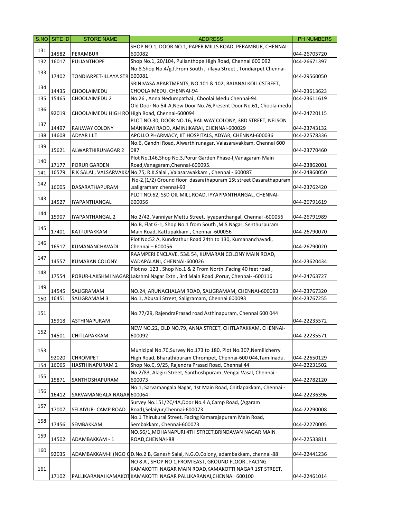|     | S.NO SITE ID | <b>STORE NAME</b>             | <b>ADDRESS</b>                                                                   | <b>PH NUMBERS</b> |
|-----|--------------|-------------------------------|----------------------------------------------------------------------------------|-------------------|
|     |              |                               | SHOP NO.1, DOOR NO.1, PAPER MILLS ROAD, PERAMBUR, CHENNAI-                       |                   |
| 131 | 14582        | PERAMBUR                      | 600082                                                                           | 044-26705720      |
| 132 | 16017        | PULIANTHOPE                   | Shop No.1, 20/104, Pulianthope High Road, Chennai 600 092                        | 044-26671397      |
|     |              |                               | No.8.Shop No.4/g.f.From South, illaya Street, Tondiarpet Chennai-                |                   |
| 133 | 17402        | TONDIARPET-ILLAYA STRI 600081 |                                                                                  | 044-29560050      |
|     |              |                               | SRINIVASA APARTMENTS, NO.101 & 102, BAJANAI KOIL CSTREET,                        |                   |
| 134 | 14435        | CHOOLAIMEDU                   | CHOOLAIMEDU, CHENNAI-94                                                          | 044-23613623      |
| 135 | 15465        | CHOOLAIMEDU 2                 | No.26, Anna Nedumpathai, Choolai Medu Chennai-94                                 | 044-23611619      |
|     |              |                               | Old Door No.54-A, New Door No.76, Present Door No.61, Choolaimedu                |                   |
| 136 | 92019        |                               | CHOOLAIMEDU HIGH RO High Road, Chennai-600094                                    | 044-24720115      |
|     |              |                               | PLOT NO.30, DOOR NO.16, RAILWAY COLONY, 3RD STREET, NELSON                       |                   |
| 137 | 14497        | RAILWAY COLONY                | MANIKAM RAOD, AMINJIKARAI, CHENNAI-600029                                        | 044-23743132      |
| 138 | 14608        | ADYAR I.I.T                   | APOLLO PHARMACY, IIT HOSPITALS, ADYAR, CHENNAI-600036                            | 044-22578336      |
|     |              |                               | No.6, Gandhi Road, Alwarthirunagar, Valasaravakkam, Chennai 600                  |                   |
| 139 | 15621        | ALWARTHIRUNAGAR 2             | 087                                                                              | 044-23770460      |
|     |              |                               | Plot No.146, Shop No.3, Porur Garden Phase-I, Vanagaram Main                     |                   |
| 140 | 17177        | PORUR GARDEN                  | Road, Vanagaram, Chennai-600095.                                                 | 044-23862001      |
| 141 | 16579        |                               | R K SALAI, VALSARVAKKA No.75, R.K.Salai, Valasaravakkam, Chennai - 600087        | 044-24860050      |
|     |              |                               | No-2,(1/2) Ground floor dasarathapuram 1St street Dasarathapuram                 |                   |
| 142 | 16005        | DASARATHAPURAM                | ,saligramam chennai-93                                                           | 044-23762420      |
|     |              |                               | PLOT NO.62, SSD OIL MILL ROAD, IYYAPPANTHANGAL, CHENNAI-                         |                   |
| 143 | 14527        | IYAPANTHANGAL                 | 600056                                                                           | 044-26791619      |
|     |              |                               |                                                                                  |                   |
| 144 | 15907        | IYAPANTHANGAL 2               | No.2/42, Vanniyar Mettu Street, Iyyapanthangal, Chennai -600056                  | 044-26791989      |
|     |              |                               | No.B, Flat G-1, Shop No.1 from South , M.S. Nagar, Senthurpuram                  |                   |
| 145 | 17401        | KATTUPAKKAM                   | Main Road, Kattupakkam, Chennai -600056                                          |                   |
|     |              |                               | Plot No:52 A, Kundrathur Road 24th to 130, Kumananchavadi,                       | 044-26790070      |
| 146 |              |                               |                                                                                  |                   |
|     | 16517        | KUMANANCHAVADI                | Chennai - 600056                                                                 | 044-26790020      |
| 147 |              |                               | RAAMPERI ENCLAVE, 53& 54, KUMARAN COLONY MAIN ROAD,                              |                   |
|     | 14557        | KUMARAN COLONY                | VADAPALANI, CHENNAI-600026                                                       | 044-23620434      |
| 148 |              |                               | Plot no .123, Shop No.1 & 2 From North, Facing 40 feet road,                     |                   |
|     | 17554        |                               | PORUR-LAKSHMI NAGAR Lakshmi Nagar Extn, 3rd Main Road, Porur, Chennai--600116    | 044-24763727      |
| 149 |              |                               |                                                                                  |                   |
|     | 14545        | SALIGRAMAM                    | NO.24, ARUNACHALAM ROAD, SALIGRAMAM, CHENNAI-600093                              | 044-23767320      |
| 150 | 16451        | SALIGRAMAM 3                  | No.1, Abusali Street, Saligramam, Chennai 600093                                 | 044-23767255      |
|     |              |                               |                                                                                  |                   |
| 151 |              |                               | No.77/29, RajendraPrasad road Asthinapuram, Chennai 600 044                      |                   |
|     | 15918        | ASTHINAPURAM                  |                                                                                  | 044-22235572      |
| 152 |              |                               | NEW NO.22, OLD NO.79, ANNA STREET, CHITLAPAKKAM, CHENNAI-                        |                   |
|     | 14501        | CHITLAPAKKAM                  | 600092                                                                           | 044-22235571      |
|     |              |                               |                                                                                  |                   |
| 153 |              |                               | Municipal No.70, Survey No.173 to 180, Plot No.307, Nemilicherry                 |                   |
|     | 92020        | <b>CHROMPET</b>               | High Road, Bharathipuram Chrompet, Chennai-600 044, Tamilnadu.                   | 044-22650129      |
| 154 | 16065        | <b>HASTHINAPURAM 2</b>        | Shop No.C, 9/25, Rajendra Prasad Road, Chennai 44                                | 044-22231502      |
| 155 |              |                               | No.2/83, Alagiri Street, Santhoshpuram, Vengai Vasal, Chennai -                  |                   |
|     | 15871        | SANTHOSHAPURAM                | 600073                                                                           | 044-22782120      |
| 156 |              |                               | No.1, Sarvamangala Nagar, 1st Main Road, Chitlapakkam, Chennai -                 |                   |
|     | 16412        | SARVAMANGALA NAGAR 600064     |                                                                                  | 044-22236396      |
| 157 |              |                               | Survey No.151/2C/4A, Door No.4 A, Camp Road, (Agaram                             |                   |
|     | 17007        | SELAIYUR- CAMP ROAD           | Road), Selaiyur, Chennai-600073.                                                 | 044-22290008      |
| 158 |              |                               | No.1 Thirukural Street, Facing Kamarajapuram Main Road,                          |                   |
|     | 17456        | SEMBAKKAM                     | Sembakkam, Chennai-600073                                                        | 044-22270005      |
| 159 |              |                               | NO.56/1, MOHANAPURI 4TH STREET, BRINDAVAN NAGAR MAIN                             |                   |
|     | 14502        | ADAMBAKKAM - 1                | ROAD, CHENNAI-88                                                                 | 044-22533811      |
| 160 |              |                               |                                                                                  |                   |
|     | 92035        |                               | ADAMBAKKAM-II (NGO QD.No.2 B, Ganesh Salai, N.G.O.Colony, adambakkam, chennai-88 | 044-22441236      |
|     |              |                               | NO 8 A, SHOP NO 1, FROM EAST, GROUND FLOOR, FACING                               |                   |
| 161 |              |                               | KAMAKOTTI NAGAR MAIN ROAD, KAMAKOTTI NAGAR 1ST STREET,                           |                   |
|     | 17102        |                               | PALLIKARANAI KAMAKOT KAMAKOTTI NAGAR PALLIKARANAI, CHENNAI 600100                | 044-22461014      |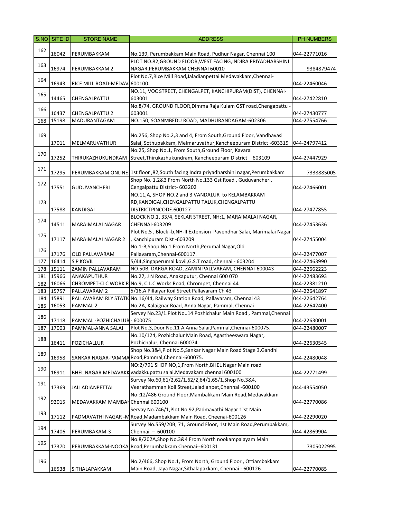|     | S.NO SITE ID | <b>STORE NAME</b>                | <b>ADDRESS</b>                                                                            | PH NUMBERS   |
|-----|--------------|----------------------------------|-------------------------------------------------------------------------------------------|--------------|
|     |              |                                  |                                                                                           |              |
| 162 | 16042        | PERUMBAKKAM                      | No.139, Perumbakkam Main Road, Pudhur Nagar, Chennai 100                                  | 044-22771016 |
|     |              |                                  | PLOT NO.82, GROUND FLOOR, WEST FACING, INDIRA PRIYADHARSHINI                              |              |
| 163 | 16974        | PERUMBAKKAM 2                    | NAGAR, PERUMBAKKAM CHENNAI 60010                                                          | 9384879474   |
|     |              |                                  | Plot No.7, Rice Mill Road, Jaladian pettai Medavakkam, Chennai-                           |              |
| 164 | 16943        | RICE MILL ROAD-MEDAV 600100.     |                                                                                           | 044-22460046 |
|     |              |                                  | NO.11, VOC STREET, CHENGALPET, KANCHIPURAM(DIST), CHENNAI-                                |              |
| 165 | 14465        | CHENGALPATTU                     | 603001                                                                                    | 044-27422810 |
|     |              |                                  | No.8/74, GROUND FLOOR, Dimma Raja Kulam GST road, Chengapattu -                           |              |
| 166 | 16437        | <b>CHENGALPATTU 2</b>            | 603001                                                                                    | 044-27430777 |
| 168 | 15198        | MADURANTAGAM                     | NO.150, SOANMBEDU ROAD, MADHURANDAGAM-602306                                              | 044-27554766 |
|     |              |                                  |                                                                                           |              |
| 169 |              |                                  | No.256, Shop No.2,3 and 4, From South, Ground Floor, Vandhavasi                           |              |
|     | 17011        | MELMARUVATHUR                    | Salai, Sothupakkam, Melmaruvathur, Kancheepuram District -603319                          | 044-24797412 |
|     |              |                                  | No.25, Shop No.1, From South, Ground Floor, Kavarai                                       |              |
| 170 | 17252        | THIRUKAZHUKUNDRAM                | Street, Thirukazhukundram, Kancheepuram District - 603109                                 | 044-27447929 |
|     |              |                                  |                                                                                           |              |
| 171 | 17295        |                                  | PERUMBAKKAM ONLINE   1st floor , 82, South facing Indra priyadharshini nagar, Perumbakkam | 7338885005   |
|     |              |                                  | Shop No. 1.2&3 From North No.133 Gst Road, Guduvancheri,                                  |              |
| 172 | 17551        | <b>GUDUVANCHERI</b>              | Cengalpattu District- 603202                                                              | 044-27466001 |
|     |              |                                  | NO.11,A, SHOP NO.2 and 3 VANDALUR to KELAMBAKKAM                                          |              |
| 173 |              |                                  | RD, KANDIGAI, CHENGALPATTU TALUK, CHENGALPATTU                                            |              |
|     | 17588        | <b>KANDIGAI</b>                  | DISTRICTPINCODE.600127                                                                    | 044-27477855 |
|     |              |                                  | BLOCK NO.1, 33/4, SEKLAR STREET, NH:1, MARAIMALAI NAGAR,                                  |              |
| 174 | 14511        | MARAIMALAI NAGAR                 | CHENNAI-603209                                                                            | 044-27453636 |
|     |              |                                  | Plot No.5, Block -b, NH-II Extension Pavendhar Salai, Marimalai Nagar                     |              |
| 175 | 17117        | <b>MARAIMALAI NAGAR 2</b>        | Kanchipuram Dist -603209                                                                  | 044-27455004 |
|     |              |                                  | No.1-B, Shop No.1 From North, Perumal Nagar, Old                                          |              |
| 176 | 17176        | OLD PALLAVARAM                   | Pallavaram, Chennai-600117.                                                               | 044-22477007 |
| 177 | 16414        | <b>SP KOVIL</b>                  | 5/44, Singaperumal kovil, G.S.T road, chennai - 603204                                    | 044-27463990 |
| 178 | 15111        | ZAMIN PALLAVARAM                 | NO.50B, DARGA ROAD, ZAMIN PALLVARAM, CHENNAI-600043                                       | 044-22662223 |
| 181 | 15966        | ANAKAPUTHUR                      | No.27, J N Road, Anakaputur, Chennai 600 070                                              | 044-22483693 |
| 182 | 16066        |                                  | CHROMPET-CLC WORK R No.9, C.L.C Works Road, Chrompet, Chennai 44                          | 044-22381210 |
| 183 | 15757        | PALLAVARAM 2                     | 5/16, A Pillaiyar Koil Street Pallavaram Ch 43                                            | 044-22641897 |
| 184 | 15891        |                                  | PALLAVARAM RLY STATION0.16/44, Railway Station Road, Pallavaram, Chennai 43               | 044-22642764 |
| 185 | 16053        | PAMMAL <sub>2</sub>              | No.2A, Kalaignar Road, Anna Nagar, Pammal, Chennai                                        | 044-22642400 |
|     |              |                                  | Servey No.23/1.Plot No14 Pozhichalur Main Road, Pammal, Chennai                           |              |
| 186 | 17118        | PAMMAL-POZHICHALUR-600075        |                                                                                           | 044-22630001 |
|     | 187 17003    |                                  | PAMMAL-ANNA SALAI Plot No.3, Door No.11 A, Anna Salai, Pammal, Chennai-600075.            | 044-22480007 |
|     |              |                                  | No.10/124, Pozhichalur Main Road, Agastheeswara Nagar,                                    |              |
| 188 | 16411        | POZICHALLUR                      | Pozhichalur, Chennai 600074                                                               | 044-22630545 |
|     |              |                                  | Shop No.3&4, Plot No.5, Sankar Nagar Main Road Stage 3, Gandhi                            |              |
| 189 | 16958        |                                  | SANKAR NAGAR-PAMMA Road, Pammal, Chennai-600075.                                          | 044-22480048 |
|     |              |                                  | NO:2/791 SHOP NO,1,From North, BHEL Nagar Main road                                       |              |
| 190 | 16911        |                                  | BHEL NAGAR MEDAVAKK vadakkupattu salai, Medavakam chennai 600100                          | 044-22771499 |
|     |              |                                  | Survey No.60,61/2,62/1,62/2,64/1,65/1,Shop No.3&4,                                        |              |
| 191 | 17369        | <b>JALLADIANPETTAI</b>           | Veerathamman Koil Street, Jaladianpet, Chennai -600100                                    | 044-43554050 |
|     |              |                                  | No:12/486 Ground Floor, Mambakkam Main Road, Medavakkam                                   |              |
| 192 | 92015        | MEDAVAKKAM MAMBAK Chennai 600100 |                                                                                           | 044-22770086 |
|     |              |                                  | Servay No.746/1, Plot No.92, Padmavathi Nagar 1'st Main                                   |              |
| 193 | 17112        |                                  | PADMAVATHI NAGAR -M Road, Madambakkam Main Road, Cheenai-600126                           | 044-22290020 |
|     |              |                                  | Survey No.559/20B, 71, Ground Floor, 1st Main Road, Perumbakkam,                          |              |
| 194 | 17406        | PERUMBAKAM-3                     | Chennai - 600100                                                                          | 044-42869904 |
|     |              |                                  | No.8/202A, Shop No.3&4 From North nookampalayam Main                                      |              |
| 195 | 17370        |                                  | PERUMBAKKAM-NOOKAIRoad, Perumbakkam Chennai--600131                                       | 7305022995   |
|     |              |                                  |                                                                                           |              |
| 196 |              |                                  | No.2/466, Shop No.1, From North, Ground Floor, Ottiambakkam                               |              |
|     | 16538        | SITHALAPAKKAM                    | Main Road, Jaya Nagar, Sithalapakkam, Chennai - 600126                                    | 044-22770085 |
|     |              |                                  |                                                                                           |              |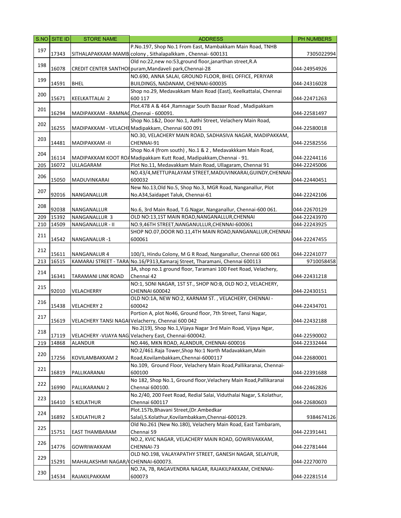|     | $SNO$ SITE ID | <b>STORE NAME</b>                      | <b>ADDRESS</b>                                                              | PH NUMBERS   |
|-----|---------------|----------------------------------------|-----------------------------------------------------------------------------|--------------|
|     |               |                                        | P.No.197, Shop No.1 From East, Mambakkam Main Road, TNHB                    |              |
| 197 | 17343         |                                        | SITHALAPAKKAM-MAMB colony, Sithalapalkkam, Chennai-600131                   | 7305022994   |
|     |               |                                        | Old no:22, new no:53, ground floor, janarthan street, R.A                   |              |
| 198 | 16078         |                                        | CREDIT CENTER SANTHOI puram, Mandaveli park, Chennai-28                     | 044-24954926 |
|     |               |                                        | NO.690, ANNA SALAI, GROUND FLOOR, BHEL OFFICE, PERIYAR                      |              |
| 199 | 14591         | <b>BHEL</b>                            | BUILDINGS, NADANAM, CHENNAI-600035                                          | 044-24316028 |
|     |               |                                        |                                                                             |              |
| 200 |               |                                        | Shop no.29, Medavakkam Main Road (East), Keelkattalai, Chennai              |              |
|     | 15671         | KEELKATTALAI 2                         | 600 117                                                                     | 044-22471263 |
| 201 |               |                                        | Plot.478 A & 464, Ramnagar South Bazaar Road, Madipakkam                    |              |
|     | 16294         | MADIPAKKAM - RAMNAC, Chennai - 600091. |                                                                             | 044-22581497 |
| 202 |               |                                        | Shop No.1&2, Door No.1, Aathi Street, Velachery Main Road,                  |              |
|     | 16255         |                                        | MADIPAKKAM - VELACHE Madipakkam, Chennai 600 091                            | 044-22580018 |
|     |               |                                        | NO.30, VELACHERY MAIN ROAD, SADHASIVA NAGAR, MADIPAKKAM,                    |              |
| 203 | 14481         | MADIPAKKAM -II                         | CHENNAI-91                                                                  | 044-22582556 |
|     |               |                                        | Shop No.4 (from south), No.1 & 2, Medavakkkam Main Road,                    |              |
| 204 | 16114         |                                        | MADIPAKKAM KOOT ROAMadipakkam Kutt Road, Madipakkam, Chennai - 91.          | 044-22244116 |
| 205 | 16072         | ULLAGARAM                              | Plot No.11, Medavakkam Main Road, Ullagaram, Chennai 91                     | 044-22245006 |
|     |               |                                        | NO.43/4, METTUPALAYAM STREET, MADUVINKARAI, GUINDY, CHENNAI-                |              |
| 206 | 15050         | MADUVINKARAI                           | 600032                                                                      | 044-22440451 |
|     |               |                                        | New No.13, Old No.5, Shop No.3, MGR Road, Nanganallur, Plot                 |              |
| 207 |               |                                        |                                                                             |              |
|     | 92016         | NANGANALLUR                            | No.A34, Saidapet Taluk, Chennai-61                                          | 044-22242106 |
| 208 |               |                                        |                                                                             |              |
|     | 92038         | NANGANALLUR                            | No.6, 3rd Main Road, T.G.Nagar, Nanganallur, Chennai-600 061.               | 044-22670129 |
| 209 | 15392         | NANGANALLUR 3                          | OLD NO:13,1ST MAIN ROAD, NANGANALLUR, CHENNAI                               | 044-22243970 |
| 210 | 14509         | NANGANALLUR - II                       | NO.9,46TH STREET, NANGANULLUR, CHENNAI-600061                               | 044-22243925 |
| 211 |               |                                        | SHOP NO.07, DOOR NO.11, 4TH MAIN ROAD, NANGANALLUR, CHENNAI-                |              |
|     | 14542         | NANGANALUR-1                           | 600061                                                                      | 044-22247455 |
|     |               |                                        |                                                                             |              |
| 212 | 15611         | NANGANALUR 4                           | 100/1, Hindu Colony, M G R Road, Nanganallur, Chennai 600 061               | 044-22241077 |
| 213 | 16515         |                                        | KAMARAJ STREET - TARA No.16/P313, Kamaraj Street, Tharamani, Chennai 600113 | 9710058458   |
|     |               |                                        | 3A, shop no.1 ground floor, Taramani 100 Feet Road, Velachery,              |              |
| 214 | 16341         | TARAMANI LINK ROAD                     | Chennai 42                                                                  | 044-22431218 |
|     |               |                                        | NO:1, SONI NAGAR, 1ST ST., SHOP NO:B, OLD NO:2, VELACHERY,                  |              |
| 215 | 92010         | VELACHERRY                             | <b>CHENNAI 600042</b>                                                       | 044-22430151 |
|     |               |                                        | OLD NO:1A, NEW NO:2, KARNAM ST., VELACHERY, CHENNAI -                       |              |
| 216 | 15438         | <b>VELACHERY 2</b>                     | 600042                                                                      | 044-22434701 |
|     |               |                                        | Portion A, plot No46, Ground floor, 7th Street, Tansi Nagar,                |              |
| 217 | 15619         |                                        | VELACHERY TANSI NAGAI Velacherry, Chennai 600 042                           | 044-22432188 |
|     |               |                                        |                                                                             |              |
| 218 |               |                                        | No.2(19), Shop No.1, Vijaya Nagar 3rd Main Road, Vijaya Ngar,               |              |
|     | 17119         |                                        | VELACHERY - VIJAYA NAG Velachery East, Chennai-600042.                      | 044-22590002 |
| 219 | 14868         | ALANDUR                                | NO.446, MKN ROAD, ALANDUR, CHENNAI-600016                                   | 044-22332444 |
| 220 |               |                                        | NO:2/461.Raja Tower, Shop No:1 North Madavakkam, Main                       |              |
|     | 17256         | KOVILAMBAKKAM 2                        | Road, Kovilambakkam, Chennai-6000117                                        | 044-22680001 |
| 221 |               |                                        | No.109, Ground Floor, Velachery Main Road, Pallikaranai, Chennai-           |              |
|     | 16819         | PALLIKARANAI                           | 600100                                                                      | 044-22391688 |
|     |               |                                        | No 182, Shop No.1, Ground floor, Velachery Main Road, Pallikaranai          |              |
| 222 | 16990         | PALLIKARANAI 2                         | Chennai 600100.                                                             | 044-22462826 |
|     |               |                                        | No.2/40, 200 Feet Road, Redial Salai, Viduthalai Nagar, S.Kolathur,         |              |
| 223 | 16410         | S KOLATHUR                             | Chennai 600117                                                              | 044-22680603 |
|     |               |                                        | Plot.157b, Bhavani Street, (Dr. Ambedkar                                    |              |
| 224 | 16892         | S.KOLATHUR 2                           | Salai), S. Kolathur, Kovilambakkam, Chennai-600129.                         | 9384674126   |
|     |               |                                        | Old No.261 (New No.180), Velachery Main Road, East Tambaram,                |              |
| 225 | 15751         | EAST THAMBARAM                         | Chennai 59                                                                  | 044-22391441 |
|     |               |                                        | NO.2, KVIC NAGAR, VELACHERY MAIN ROAD, GOWRIVAKKAM,                         |              |
| 226 | 14776         |                                        | CHENNAI-73                                                                  |              |
|     |               | GOWRIWAKKAM                            |                                                                             | 044-22781444 |
| 229 |               |                                        | OLD NO.198, VALAYAPATHY STREET, GANESH NAGAR, SELAIYUR,                     |              |
|     | 15291         | MAHALAKSHMI NAGAR/ (CHENNAI-600073.    |                                                                             | 044-22270070 |
| 230 |               |                                        | NO.7A, 7B, RAGAVENDRA NAGAR, RAJAKILPAKKAM, CHENNAI-                        |              |
|     | 14534         | RAJAKILPAKKAM                          | 600073                                                                      | 044-22281514 |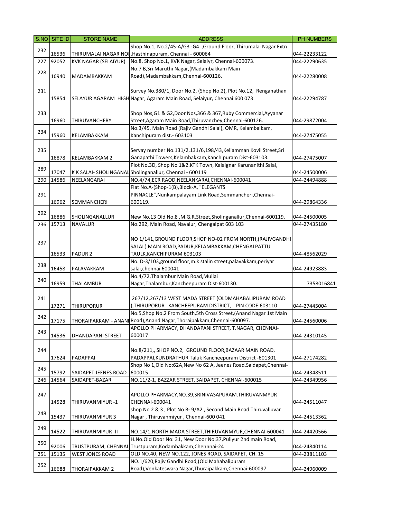|     | S.NO SITE ID   | <b>STORE NAME</b>                | <b>ADDRESS</b>                                                                                                                  | <b>PH NUMBERS</b>            |
|-----|----------------|----------------------------------|---------------------------------------------------------------------------------------------------------------------------------|------------------------------|
|     |                |                                  | Shop No.1, No.2/45-A/G3 -G4, Ground Floor, Thirumalai Nagar Extn                                                                |                              |
| 232 | 16536          |                                  | THIRUMALAI NAGAR NOI, Hasthinapuram, Chennai - 600064                                                                           | 044-22233122                 |
| 227 | 92052          | <b>KVK NAGAR (SELAIYUR)</b>      | No.8, Shop No.1, KVK Nagar, Selaiyr, Chennai-600073.                                                                            | 044-22290635                 |
| 228 |                |                                  | No.7 B, Sri Maruthi Nagar, (Madambakkam Main                                                                                    |                              |
|     | 16940          | MADAMBAKKAM                      | Road), Madambakkam, Chennai-600126.                                                                                             | 044-22280008                 |
|     |                |                                  |                                                                                                                                 |                              |
| 231 |                |                                  | Survey No.380/1, Door No.2, (Shop No.2), Plot No.12, Renganathan                                                                |                              |
|     | 15854          |                                  | SELAYUR AGARAM HIGH Nagar, Agaram Main Road, Selaiyur, Chennai 600 073                                                          | 044-22294787                 |
| 233 |                |                                  | Shop Nos, G1 & G2, Door Nos, 366 & 367, Ruby Commercial, Ayyanar                                                                |                              |
|     | 16960          | THIRUVANCHERY                    | Street, Agaram Main Road, Thiruvanchey, Chennai-600126.                                                                         | 044-29872004                 |
|     |                |                                  | No.3/45, Main Road (Rajiv Gandhi Salai), OMR, Kelambalkam,                                                                      |                              |
| 234 | 15960          | KELAMBAKKAM                      | Kanchipuram dist.- 603103                                                                                                       | 044-27475055                 |
|     |                |                                  |                                                                                                                                 |                              |
| 235 |                |                                  | Servay number No.131/2,131/6,198/43, Keliamman Kovil Street, Sri                                                                |                              |
|     | 16878          | KELAMBAKKAM 2                    | Ganapathi Towers, Kelambakkam, Kanchipuram Dist-603103.                                                                         | 044-27475007                 |
| 289 |                |                                  | Plot No.3D, Shop No 1&2.KTK Town, Kalaignar Karunanithi Salai,                                                                  |                              |
|     | 17047          |                                  | K K SALAI- SHOLINGANAL Sholinganallur, Chennai - 600119                                                                         | 044-24500006                 |
| 290 | 14586          | NEELANGARAI                      | NO.4/74,ECR RAOD, NEELANKARAI, CHENNAI-600041                                                                                   | 044-24494888                 |
|     |                |                                  | Flat No.A-(Shop-1(B), Block-A, "ELEGANTS                                                                                        |                              |
| 291 |                |                                  | PINNACLE", Nunkampalayam Link Road, Semmancheri, Chennai-                                                                       |                              |
|     | 16962          | <b>SEMMANCHERI</b>               | 600119.                                                                                                                         | 044-29864336                 |
| 292 |                |                                  |                                                                                                                                 |                              |
| 236 | 16886<br>15713 | SHOLINGANALLUR<br><b>NAVALUR</b> | New No.13 Old No.8, M.G.R.Street, Sholinganallur, Chennai-600119.<br>No.292, Main Road, Navalur, Chengalpat 603 103             | 044-24500005<br>044-27435180 |
|     |                |                                  |                                                                                                                                 |                              |
|     |                |                                  | NO 1/141, GROUND FLOOR, SHOP NO-02 FROM NORTH, (RAJIVGANDHI                                                                     |                              |
| 237 |                |                                  | SALAI) MAIN ROAD, PADUR, KELAMBAKKAM, CHENGALPATTU                                                                              |                              |
|     | 16533          | PADUR <sub>2</sub>               | TAULK, KANCHIPURAM 603103                                                                                                       | 044-48562029                 |
|     |                |                                  | No. D-3/103, ground floor, m.k stalin street, palavakkam, periyar                                                               |                              |
| 238 | 16458          | PALAVAKKAM                       | salai, chennai 600041                                                                                                           | 044-24923883                 |
| 240 |                |                                  | No.4/72, Thalambur Main Road, Mullai                                                                                            |                              |
|     | 16959          | THALAMBUR                        | Nagar, Thalambur, Kancheepuram Dist-600130.                                                                                     | 7358016841                   |
|     |                |                                  |                                                                                                                                 |                              |
| 241 |                |                                  | 267/12,267/13 WEST MADA STREET (OLDMAHABALIPURAM ROAD                                                                           |                              |
|     | 17271          | THIRUPORUR                       | ), THIRUPORUR KANCHEEPURAM DISTRICT, PIN CODE:603110                                                                            | 044-27445004                 |
| 242 |                |                                  | No.5, Shop No.2 From South, 5th Cross Street, (Anand Nagar 1st Main                                                             |                              |
|     | 17175          |                                  | THORAIPAKKAM - ANANI Road), Anand Nagar, Thoraipakkam, Chennai-600097.<br>APOLLO PHARMACY, DHANDAPANI STREET, T.NAGAR, CHENNAI- | 044-24560006                 |
| 243 | 14536          | DHANDAPANI STREET                | 600017                                                                                                                          | 044-24310145                 |
|     |                |                                  |                                                                                                                                 |                              |
| 244 |                |                                  | No.8/211,, SHOP NO.2, GROUND FLOOR, BAZAAR MAIN ROAD,                                                                           |                              |
|     | 17624          | PADAPPAI                         | PADAPPAI, KUNDRATHUR Taluk Kancheepuram District -601301                                                                        | 044-27174282                 |
|     |                |                                  | Shop No 1, Old No: 62A, New No 62 A, Jeenes Road, Saidapet, Chennai-                                                            |                              |
| 245 | 15792          | SAIDAPET JEENES ROAD             | 600015                                                                                                                          | 044-24348511                 |
| 246 | 14564          | SAIDAPET-BAZAR                   | NO.11/2-1, BAZZAR STREET, SAIDAPET, CHENNAI-600015                                                                              | 044-24349956                 |
|     |                |                                  |                                                                                                                                 |                              |
| 247 |                |                                  | APOLLO PHARMACY, NO.39, SRINIVASAPURAM. THIRUVANMYUR                                                                            |                              |
|     | 14528          | THIRUVANMIYUR-1                  | CHENNAI-600041                                                                                                                  | 044-24511047                 |
| 248 |                |                                  | shop No 2 & 3, Plot No B-9/A2, Second Main Road Thiruvalluvar                                                                   |                              |
|     | 15437          | THIRUVANMIYUR 3                  | Nagar, Thiruvanmiyur, Chennai-600 041                                                                                           | 044-24513362                 |
| 249 | 14522          | THIRUVANMIYUR -II                | NO.14/1, NORTH MADA STREET, THIRUVANMYUR, CHENNAI-600041                                                                        | 044-24420566                 |
|     |                |                                  | H.No.Old Door No: 31, New Door No:37, Puliyur 2nd main Road,                                                                    |                              |
| 250 | 92006          |                                  | TRUSTPURAM, CHENNAI Trustpuram, Kodambakkam, Chennnai-24                                                                        | 044-24840114                 |
| 251 | 15135          | <b>WEST JONES ROAD</b>           | OLD NO.40, NEW NO.122, JONES ROAD, SAIDAPET, CH. 15                                                                             | 044-23811103                 |
|     |                |                                  | NO.1/620, Rajiv Gandhi Road, (Old Mahabalipuram                                                                                 |                              |
| 252 | 16688          | THORAIPAKKAM 2                   | Road), Venkateswara Nagar, Thuraipakkam, Chennai-600097.                                                                        | 044-24960009                 |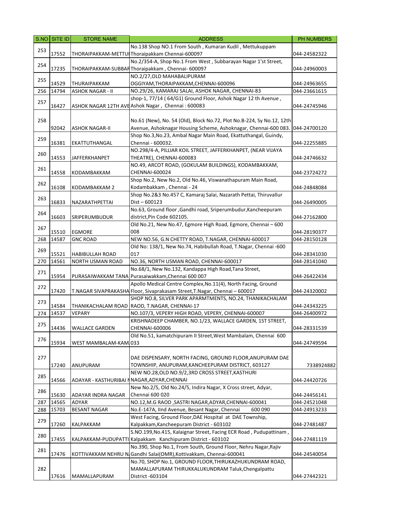|     | S.NO SITE ID | <b>STORE NAME</b>       | <b>ADDRESS</b>                                                                                                | PH NUMBERS   |
|-----|--------------|-------------------------|---------------------------------------------------------------------------------------------------------------|--------------|
|     |              |                         | No.138 Shop NO.1 From South, Kumaran Kudil, Mettukuppam                                                       |              |
| 253 | 17552        |                         | THORAIPAKKAM-METTUI Thoraipakkam Chennai-600097                                                               | 044-24582322 |
|     |              |                         | No.2/354-A, Shop No.1 From West, Subbarayan Nagar 1'st Street,                                                |              |
| 254 | 17235        |                         | THORAIPAKKAM-SUBBARThoraipakkam, Chennai-600097                                                               | 044-24960003 |
| 255 |              |                         | NO.2/27, OLD MAHABALIPURAM                                                                                    |              |
|     | 14529        | THURAIPAKKAM            | OGGIYAM, THORAIPAKKAM, CHENNAI-600096                                                                         | 044-24963655 |
| 256 | 14794        | <b>ASHOK NAGAR - II</b> | NO.29/26, KAMARAJ SALAI, ASHOK NAGAR, CHENNAI-83                                                              | 044-23661615 |
| 257 |              |                         | shop-1, 77/14 (64/G1) Ground Floor, Ashok Nagar 12 th Avenue,                                                 |              |
|     | 16427        |                         | ASHOK NAGAR 12TH AVE Ashok Nagar, Chennai: 600083                                                             | 044-24745946 |
|     |              |                         |                                                                                                               |              |
| 258 |              |                         | No.61 (New), No. 54 (Old), Block No.72, Plot No.B-224, Sy No.12, 12th                                         |              |
|     | 92042        | <b>ASHOK NAGAR-II</b>   | Avenue, Ashoknagar Housing Scheme, Ashoknagar, Chennai-600 083.                                               | 044-24700120 |
| 259 |              |                         | Shop No.3, No.23, Ambal Nagar Main Road, Ekattuthangal, Guindy,                                               |              |
|     | 16381        | EKATTUTHANGAL           | Chennai - 600032.                                                                                             | 044-22255885 |
| 260 |              |                         | NO.298/4-A, PILLIAR KOIL STREET, JAFFERKHANPET, (NEAR VIJAYA                                                  |              |
|     | 14553        | JAFFERKHANPET           | THEATRE), CHENNAI-600083                                                                                      | 044-24746632 |
| 261 |              |                         | NO.49, ARCOT ROAD, (GOKULAM BUILDINGS), KODAMBAKKAM,                                                          |              |
|     | 14558        | KODAMBAKKAM             | CHENNAI-600024<br>Shop No.2, New No.2, Old No.46, Viswanathapuram Main Road,                                  | 044-23724272 |
| 262 | 16108        | KODAMBAKKAM 2           | Kodambakkam, Chennai - 24                                                                                     | 044-24848084 |
|     |              |                         | Shop No.2&3 No.457 C, Kamaraj Salai, Nazarath Pettai, Thiruvallur                                             |              |
| 263 | 16833        | NAZARATHPETTAI          | Dist - 600123                                                                                                 | 044-26490005 |
|     |              |                         | No.63, Ground floor , Gandhi road, Sriperumbudur, Kancheepuram                                                |              |
| 264 | 16603        | SRIPERUMBUDUR           | district, Pin Code 602105.                                                                                    | 044-27162800 |
|     |              |                         | Old No.21, New No.47, Egmore High Road, Egmore, Chennai - 600                                                 |              |
| 267 | 15510        | EGMORE                  | 008                                                                                                           | 044-28190377 |
| 268 | 14587        | <b>GNC ROAD</b>         | NEW NO.56, G.N CHETTY ROAD, T.NAGAR, CHENNAI-600017                                                           | 044-28150128 |
|     |              |                         | Old No: 138/1, New No.74, Habibullah Road, T.Nagar, Chennai -600                                              |              |
| 269 | 15521        | <b>HABIBULLAH ROAD</b>  | 017                                                                                                           | 044-28341030 |
| 270 | 14561        | NORTH USMAN ROAD        | NO.36, NORTH USMAN ROAD, CHENNAI-600017                                                                       | 044-28141040 |
|     |              |                         | No.68/1, New No.132, Kandappa High Road, Tana Street,                                                         |              |
| 271 | 15954        |                         | PURASAIWAKKAM TANA Purasaiwakkam, Chennai 600 007                                                             | 044-26422434 |
| 272 |              |                         | Apollo Medical Centre Complex, No.11(4), North Facing, Ground                                                 |              |
|     | 17420        |                         | T.NAGAR SIVAPRAKASHA Floor, Sivaprakasam Street, T.Nagar, Chennai - 600017                                    | 044-24320002 |
| 273 |              |                         | SHOP NO.8, SILVER PARK APARMTMENTS, NO.24, THANIKACHALAM                                                      |              |
|     | 14584        |                         | THANIKACHALAM ROAD RAOD, T.NAGAR, CHENNAI-17                                                                  | 044-24343225 |
| 274 | 14537        | VEPARY                  | NO.107/3, VEPERY HIGH ROAD, VEPERY, CHENNAI-600007                                                            | 044-26400972 |
| 275 |              |                         | KRISHNADEEP CHAMBER, NO.1/23, WALLACE GARDEN, 1ST STREET,                                                     |              |
|     | 14436        | WALLACE GARDEN          | CHENNAI-600006                                                                                                | 044-28331539 |
| 276 |              |                         | Old No.51, kamatchipuram II Street, West Mambalam, Chennai 600                                                |              |
|     | 15934        | WEST MAMBALAM-KAMJ033   |                                                                                                               | 044-24749594 |
|     |              |                         |                                                                                                               |              |
| 277 | 17240        |                         | DAE DISPENSARY, NORTH FACING, GROUND FLOOR, ANUPURAM DAE<br>TOWNSHIP, ANUPURAM, KANCHEEPURAM DISTRICT, 603127 | 7338924882   |
|     |              | ANUPURAM                | NEW NO.28, OLD NO.9/2, 3RD CROSS STREET, KASTHURI                                                             |              |
| 285 | 14566        |                         | ADAYAR - KASTHURIBAI NNAGAR, ADYAR, CHENNAI                                                                   | 044-24420726 |
|     |              |                         | New No.2/5, Old No.24/5, Indira Nagar, X Cross street, Adyar,                                                 |              |
| 286 | 15630        | ADAYAR INDRA NAGAR      | Chennai 600 020                                                                                               | 044-24456141 |
| 287 | 14565        | ADYAR                   | NO.12, M.G RAOD, SASTRI NAGAR, ADYAR, CHENNAI-600041                                                          | 044-24521048 |
| 288 | 15703        | <b>BESANT NAGAR</b>     | No.E-147A, IInd Avenue, Besant Nagar, Chennai<br>600 090                                                      | 044-24913233 |
|     |              |                         | West Facing, Ground Floor, DAE Hospital at DAE Township,                                                      |              |
| 279 | 17260        | KALPAKKAM               | Kalpakkam, Kancheepuram District - 603102                                                                     | 044-27481487 |
|     |              |                         | S.NO.199, No.415, Kalaignar Street, Facing ECR Road, Pudupattinam,                                            |              |
| 280 | 17455        |                         | KALPAKKAM-PUDUPATTI Kalpakkam Kanchipuram District - 603102                                                   | 044-27481119 |
|     |              |                         | No.390, Shop No.1, From South, Ground Floor, Nehru Nagar, Rajiv                                               |              |
| 281 | 17476        |                         | KOTTIVAKKAM NEHRU N Gandhi Salai(OMR), Kottivakkam, Chennai-600041                                            | 044-24540054 |
|     |              |                         | No.70, SHOP No.1, GROUND FLOOR, THIRUKAZHUKUNDRAM ROAD,                                                       |              |
| 282 |              |                         | MAMALLAPURAM THIRUKKALUKUNDRAM Taluk, Chengalpattu                                                            |              |
|     | 17616        | MAMALLAPURAM            | District -603104                                                                                              | 044-27442321 |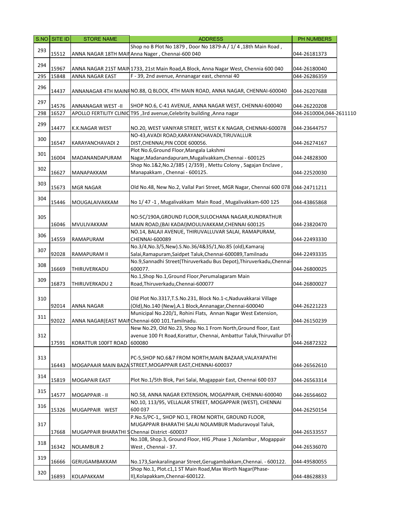|     | S.NO SITE ID | <b>STORE NAME</b>              | <b>ADDRESS</b>                                                                       | PH NUMBERS              |  |
|-----|--------------|--------------------------------|--------------------------------------------------------------------------------------|-------------------------|--|
|     |              |                                | Shop no B Plot No 1879, Door No 1879-A / 1/ 4, 18th Main Road,                       |                         |  |
| 293 | 15512        |                                | ANNA NAGAR 18TH MAIN Anna Nager, Chennai-600 040                                     | 044-26181373            |  |
|     |              |                                |                                                                                      |                         |  |
| 294 | 15967        |                                | ANNA NAGAR 21ST MAIN 1733, 21st Main Road, A Block, Anna Nagar West, Chennia 600 040 | 044-26180040            |  |
| 295 | 15848        | ANNA NAGAR EAST                | F - 39, 2nd avenue, Annanagar east, chennai 40                                       | 044-26286359            |  |
|     |              |                                |                                                                                      |                         |  |
| 296 |              |                                |                                                                                      |                         |  |
|     | 14437        |                                | ANNANAGAR 4TH MAINF NO.88, Q BLOCK, 4TH MAIN ROAD, ANNA NAGAR, CHENNAI-600040        | 044-26207688            |  |
| 297 |              |                                |                                                                                      |                         |  |
|     | 14576        | <b>ANNANAGAR WEST-II</b>       | SHOP NO.6, C-41 AVENUE, ANNA NAGAR WEST, CHENNAI-600040                              | 044-26220208            |  |
| 298 | 16527        | <b>APOLLO FERTILITY CLINIC</b> | T95, 3rd avenue, Celebrity building, Anna nagar                                      | 044-2610004,044-2611110 |  |
| 299 |              |                                |                                                                                      |                         |  |
|     | 14477        | K.K.NAGAR WEST                 | NO.20, WEST VANIYAR STREET, WEST K K NAGAR, CHENNAI-600078                           | 044-23644757            |  |
| 300 |              |                                | NO-43, AVADI ROAD, KARAYANCHAVADI, TIRUVALLUR                                        |                         |  |
|     | 16547        | KARAYANCHAVADI 2               | DIST, CHENNAI, PIN CODE 600056.                                                      | 044-26274167            |  |
| 301 |              |                                | Plot No.6, Ground Floor, Mangala Lakshmi                                             |                         |  |
|     | 16004        | MADANANDAPURAM                 | Nagar, Madanandapuram, Mugalivakkam, Chennai - 600125                                | 044-24828300            |  |
|     |              |                                | Shop No.1&2, No.2/385 (2/359), Mettu Colony, Sagajan Enclave,                        |                         |  |
| 302 | 16627        | MANAPAKKAM                     | Manapakkam, Chennai - 600125.                                                        | 044-22520030            |  |
|     |              |                                |                                                                                      |                         |  |
| 303 | 15673        | <b>MGR NAGAR</b>               | Old No.48, New No.2, Vallal Pari Street, MGR Nagar, Chennai 600 078   044-24711211   |                         |  |
|     |              |                                |                                                                                      |                         |  |
| 304 | 15446        | MOUGALAIVAKKAM                 | No 1/47 -1, Mugalivakkam Main Road, Mugalivakkam-600 125                             | 044-43865868            |  |
|     |              |                                |                                                                                      |                         |  |
|     |              |                                |                                                                                      |                         |  |
| 305 |              |                                | NO:5C/190A, GROUND FLOOR, SULOCHANA NAGAR, KUNDRATHUR                                |                         |  |
|     | 16046        | MVULIVAKKAM                    | MAIN ROAD, (BAI KADAI) MOULIVAKKAM, CHENNAI 600125                                   | 044-23820470            |  |
| 306 |              |                                | NO.14, BALAJI AVENUE, THIRUVALLUVAR SALAI, RAMAPURAM,                                |                         |  |
|     | 14559        | RAMAPURAM                      | CHENNAI-600089                                                                       | 044-22493330            |  |
| 307 |              |                                | No.3/4, No.3/5, New).S.No.36/4&35/1, No.85 (old), Kamaraj                            |                         |  |
|     | 92028        | RAMAPURAM II                   | Salai, Ramapuram, Saidpet Taluk, Chennai-600089, Tamilnadu                           | 044-22493335            |  |
| 308 |              |                                | No.9, Sannadhi Street(Thiruverkadu Bus Depot), Thiruverkadu, Chennai-                |                         |  |
|     | 16669        | THIRUVERKADU                   | 600077.                                                                              | 044-26800025            |  |
| 309 |              |                                | No.1, Shop No.1, Ground Floor, Perumalagaram Main                                    |                         |  |
|     | 16873        | THIRUVERKADU 2                 | Road, Thiruverkadu, Chennai-600077                                                   | 044-26800027            |  |
|     |              |                                |                                                                                      |                         |  |
| 310 |              |                                | Old Plot No.3317, T.S.No.231, Block No.1-c, Naduvakkarai Village                     |                         |  |
|     | 92014        | ANNA NAGAR                     | (Old), No.140 (New), A.1 Block, Annanagar, Chennai-600040                            | 044-26221223            |  |
|     |              |                                | Municipal No.220/1, Rohini Flats, Annan Nagar West Extension,                        |                         |  |
| 311 | 92022        |                                | ANNA NAGAR(EAST MAIN Chennai-600 101. Tamilnadu.                                     | 044-26150239            |  |
|     |              |                                | New No.29, Old No.23, Shop No.1 From North, Ground floor, East                       |                         |  |
| 312 |              |                                | avenue 100 Ft Road, Korattur, Chennai, Ambattur Taluk, Thiruvallur DT-               |                         |  |
|     | 17591        | KORATTUR 100FT ROAD            | 600080                                                                               | 044-26872322            |  |
|     |              |                                |                                                                                      |                         |  |
|     |              |                                |                                                                                      |                         |  |
| 313 |              |                                | PC-5, SHOP NO.6&7 FROM NORTH, MAIN BAZAAR, VALAYAPATHI                               |                         |  |
|     | 16443        |                                | MOGAPAAIR MAIN BAZA STREET, MOGAPPAIR EAST, CHENNAI-600037                           | 044-26562610            |  |
| 314 |              |                                |                                                                                      |                         |  |
|     | 15819        | <b>MOGAPAIR EAST</b>           | Plot No.1/5th Blok, Pari Salai, Mugappair East, Chennai 600 037                      | 044-26563314            |  |
| 315 |              |                                |                                                                                      |                         |  |
|     | 14577        | MOGAPPAIR - II                 | NO.58, ANNA NAGAR EXTENSION, MOGAPPAIR, CHENNAI-600040                               | 044-26564602            |  |
|     |              |                                | NO.10, 113/95, VELLALAR STREET, MOGAPPAIR (WEST), CHENNAI                            |                         |  |
| 316 | 15326        | MUGAPPAIR WEST                 | 600 037                                                                              | 044-26250154            |  |
|     |              |                                | P.No.5/PC-1,, SHOP NO.1, FROM NORTH, GROUND FLOOR,                                   |                         |  |
| 317 |              |                                | MUGAPPAIR BHARATHI SALAI NOLAMBUR Maduravoyal Taluk,                                 |                         |  |
|     | 17668        | MUGAPPAIR BHARATHI S           | Chennai District -600037                                                             | 044-26533557            |  |
|     |              |                                | No.108, Shop.3, Ground Floor, HIG, Phase 1, Nolambur, Mogappair                      |                         |  |
| 318 | 16342        | <b>NOLAMBUR 2</b>              | West, Chennai - 37.                                                                  | 044-26536070            |  |
|     |              |                                |                                                                                      |                         |  |
| 319 | 16666        |                                | No.173, Sankaralinganar Street, Gerugambakkam, Chennai. - 600122.                    |                         |  |
|     |              | GERUGAMBAKKAM                  |                                                                                      | 044-49580055            |  |
| 320 |              |                                | Shop No.1, Plot.c1,1 ST Main Road, Max Worth Nagar (Phase-                           |                         |  |
|     | 16893        | KOLAPAKKAM                     | II), Kolapakkam, Chennai-600122.                                                     | 044-48628833            |  |